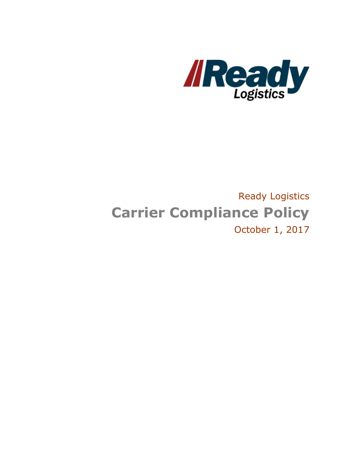

# Ready Logistics **Carrier Compliance Policy** October 1, 2017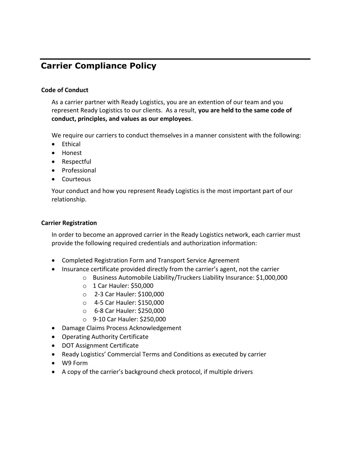# **Carrier Compliance Policy**

#### **Code of Conduct**

As a carrier partner with Ready Logistics, you are an extention of our team and you represent Ready Logistics to our clients. As a result, **you are held to the same code of conduct, principles, and values as our employees**.

We require our carriers to conduct themselves in a manner consistent with the following:

- **•** Ethical
- Honest
- Respectful
- Professional
- Courteous

Your conduct and how you represent Ready Logistics is the most important part of our relationship.

#### **Carrier Registration**

In order to become an approved carrier in the Ready Logistics network, each carrier must provide the following required credentials and authorization information:

- Completed Registration Form and Transport Service Agreement
- Insurance certificate provided directly from the carrier's agent, not the carrier
	- o Business Automobile Liability/Truckers Liability Insurance: \$1,000,000
	- o 1 Car Hauler: \$50,000
	- o 2‐3 Car Hauler: \$100,000
	- o 4‐5 Car Hauler: \$150,000
	- o 6‐8 Car Hauler: \$250,000
	- o 9‐10 Car Hauler: \$250,000
- Damage Claims Process Acknowledgement
- Operating Authority Certificate
- DOT Assignment Certificate
- Ready Logistics' Commercial Terms and Conditions as executed by carrier
- W9 Form
- A copy of the carrier's background check protocol, if multiple drivers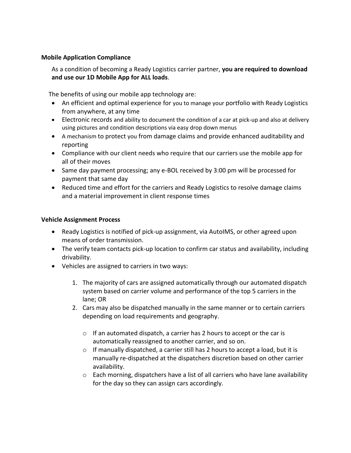#### **Mobile Application Compliance**

As a condition of becoming a Ready Logistics carrier partner, **you are required to download and use our 1D Mobile App for ALL loads**.

The benefits of using our mobile app technology are:

- An efficient and optimal experience for you to manage your portfolio with Ready Logistics from anywhere, at any time
- Electronic records and ability to document the condition of a car at pick-up and also at delivery using pictures and condition descriptions via easy drop down menus
- A mechanism to protect you from damage claims and provide enhanced auditability and reporting
- Compliance with our client needs who require that our carriers use the mobile app for all of their moves
- Same day payment processing; any e-BOL received by 3:00 pm will be processed for payment that same day
- Reduced time and effort for the carriers and Ready Logistics to resolve damage claims and a material improvement in client response times

#### **Vehicle Assignment Process**

- Ready Logistics is notified of pick-up assignment, via AutoIMS, or other agreed upon means of order transmission.
- The verify team contacts pick-up location to confirm car status and availability, including drivability.
- Vehicles are assigned to carriers in two ways:
	- 1. The majority of cars are assigned automatically through our automated dispatch system based on carrier volume and performance of the top 5 carriers in the lane; OR
	- 2. Cars may also be dispatched manually in the same manner or to certain carriers depending on load requirements and geography.
		- $\circ$  If an automated dispatch, a carrier has 2 hours to accept or the car is automatically reassigned to another carrier, and so on.
		- $\circ$  If manually dispatched, a carrier still has 2 hours to accept a load, but it is manually re-dispatched at the dispatchers discretion based on other carrier availability.
		- o Each morning, dispatchers have a list of all carriers who have lane availability for the day so they can assign cars accordingly.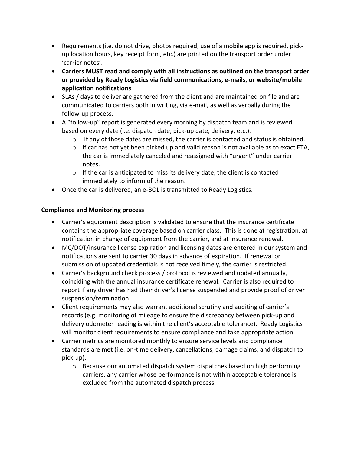- Requirements (i.e. do not drive, photos required, use of a mobile app is required, pickup location hours, key receipt form, etc.) are printed on the transport order under 'carrier notes'.
- **Carriers MUST read and comply with all instructions as outlined on the transport order or provided by Ready Logistics via field communications, e-mails, or website/mobile application notifications**
- SLAs / days to deliver are gathered from the client and are maintained on file and are communicated to carriers both in writing, via e-mail, as well as verbally during the follow-up process.
- A "follow-up" report is generated every morning by dispatch team and is reviewed based on every date (i.e. dispatch date, pick-up date, delivery, etc.).
	- $\circ$  If any of those dates are missed, the carrier is contacted and status is obtained.
	- o If car has not yet been picked up and valid reason is not available as to exact ETA, the car is immediately canceled and reassigned with "urgent" under carrier notes.
	- $\circ$  If the car is anticipated to miss its delivery date, the client is contacted immediately to inform of the reason.
- Once the car is delivered, an e-BOL is transmitted to Ready Logistics.

# **Compliance and Monitoring process**

- Carrier's equipment description is validated to ensure that the insurance certificate contains the appropriate coverage based on carrier class. This is done at registration, at notification in change of equipment from the carrier, and at insurance renewal.
- MC/DOT/insurance license expiration and licensing dates are entered in our system and notifications are sent to carrier 30 days in advance of expiration. If renewal or submission of updated credentials is not received timely, the carrier is restricted.
- Carrier's background check process / protocol is reviewed and updated annually, coinciding with the annual insurance certificate renewal. Carrier is also required to report if any driver has had their driver's license suspended and provide proof of driver suspension/termination.
- Client requirements may also warrant additional scrutiny and auditing of carrier's records (e.g. monitoring of mileage to ensure the discrepancy between pick-up and delivery odometer reading is within the client's acceptable tolerance). Ready Logistics will monitor client requirements to ensure compliance and take appropriate action.
- Carrier metrics are monitored monthly to ensure service levels and compliance standards are met (i.e. on-time delivery, cancellations, damage claims, and dispatch to pick-up).
	- $\circ$  Because our automated dispatch system dispatches based on high performing carriers, any carrier whose performance is not within acceptable tolerance is excluded from the automated dispatch process.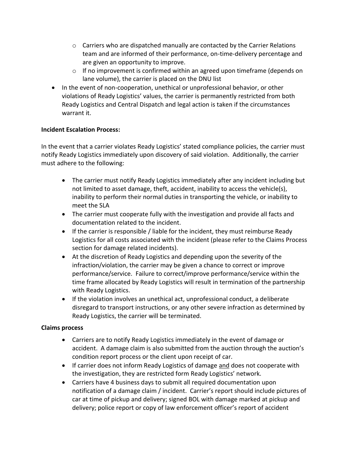- $\circ$  Carriers who are dispatched manually are contacted by the Carrier Relations team and are informed of their performance, on-time-delivery percentage and are given an opportunity to improve.
- $\circ$  If no improvement is confirmed within an agreed upon timeframe (depends on lane volume), the carrier is placed on the DNU list
- In the event of non-cooperation, unethical or unprofessional behavior, or other violations of Ready Logistics' values, the carrier is permanently restricted from both Ready Logistics and Central Dispatch and legal action is taken if the circumstances warrant it.

## **Incident Escalation Process:**

In the event that a carrier violates Ready Logistics' stated compliance policies, the carrier must notify Ready Logistics immediately upon discovery of said violation. Additionally, the carrier must adhere to the following:

- The carrier must notify Ready Logistics immediately after any incident including but not limited to asset damage, theft, accident, inability to access the vehicle(s), inability to perform their normal duties in transporting the vehicle, or inability to meet the SLA
- The carrier must cooperate fully with the investigation and provide all facts and documentation related to the incident.
- If the carrier is responsible / liable for the incident, they must reimburse Ready Logistics for all costs associated with the incident (please refer to the Claims Process section for damage related incidents).
- At the discretion of Ready Logistics and depending upon the severity of the infraction/violation, the carrier may be given a chance to correct or improve performance/service. Failure to correct/improve performance/service within the time frame allocated by Ready Logistics will result in termination of the partnership with Ready Logistics.
- If the violation involves an unethical act, unprofessional conduct, a deliberate disregard to transport instructions, or any other severe infraction as determined by Ready Logistics, the carrier will be terminated.

## **Claims process**

- Carriers are to notify Ready Logistics immediately in the event of damage or accident. A damage claim is also submitted from the auction through the auction's condition report process or the client upon receipt of car.
- If carrier does not inform Ready Logistics of damage and does not cooperate with the investigation, they are restricted form Ready Logistics' network.
- Carriers have 4 business days to submit all required documentation upon notification of a damage claim / incident. Carrier's report should include pictures of car at time of pickup and delivery; signed BOL with damage marked at pickup and delivery; police report or copy of law enforcement officer's report of accident